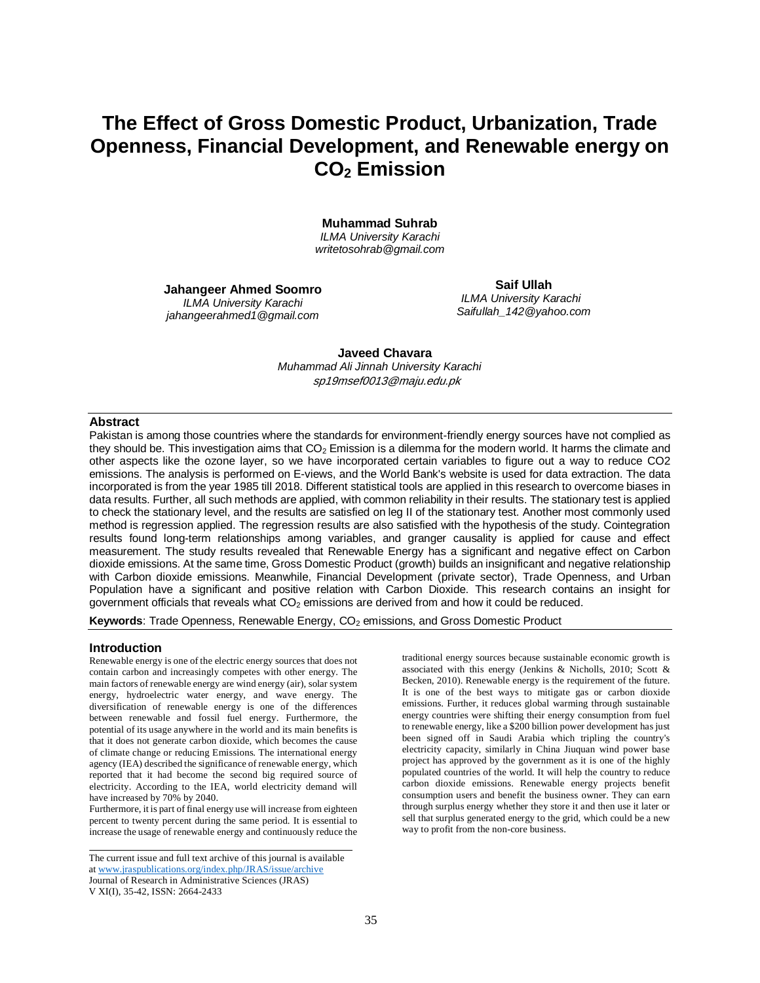# **The Effect of Gross Domestic Product, Urbanization, Trade Openness, Financial Development, and Renewable energy on CO<sup>2</sup> Emission**

**Muhammad Suhrab** *ILMA University Karachi*

*[writetosohrab@gmail.com](mailto:writetosohrab@gmail.com)*

**Jahangeer Ahmed Soomro** *ILMA University Karachi jahangeerahmed1@gmail.com*

**Saif Ullah** *ILMA University Karachi [Saifullah\\_142@yahoo.com](mailto:Saifullah_142@yahoo.com)*

 **Javeed Chavara** *Muhammad Ali Jinnah University Karachi* sp19msef0013@maju.edu.pk

### **Abstract**

Pakistan is among those countries where the standards for environment-friendly energy sources have not complied as they should be. This investigation aims that  $CO<sub>2</sub>$  Emission is a dilemma for the modern world. It harms the climate and other aspects like the ozone layer, so we have incorporated certain variables to figure out a way to reduce CO2 emissions. The analysis is performed on E-views, and the World Bank's website is used for data extraction. The data incorporated is from the year 1985 till 2018. Different statistical tools are applied in this research to overcome biases in data results. Further, all such methods are applied, with common reliability in their results. The stationary test is applied to check the stationary level, and the results are satisfied on leg II of the stationary test. Another most commonly used method is regression applied. The regression results are also satisfied with the hypothesis of the study. Cointegration results found long-term relationships among variables, and granger causality is applied for cause and effect measurement. The study results revealed that Renewable Energy has a significant and negative effect on Carbon dioxide emissions. At the same time, Gross Domestic Product (growth) builds an insignificant and negative relationship with Carbon dioxide emissions. Meanwhile, Financial Development (private sector), Trade Openness, and Urban Population have a significant and positive relation with Carbon Dioxide. This research contains an insight for government officials that reveals what  $CO<sub>2</sub>$  emissions are derived from and how it could be reduced.

Keywords: Trade Openness, Renewable Energy, CO<sub>2</sub> emissions, and Gross Domestic Product

### **Introduction**

Renewable energy is one of the electric energy sources that does not contain carbon and increasingly competes with other energy. The main factors of renewable energy are wind energy (air), solar system energy, hydroelectric water energy, and wave energy. The diversification of renewable energy is one of the differences between renewable and fossil fuel energy. Furthermore, the potential of its usage anywhere in the world and its main benefits is that it does not generate carbon dioxide, which becomes the cause of climate change or reducing Emissions. The international energy agency (IEA) described the significance of renewable energy, which reported that it had become the second big required source of electricity. According to the IEA, world electricity demand will have increased by 70% by 2040.

Furthermore, it is part of final energy use will increase from eighteen percent to twenty percent during the same period. It is essential to increase the usage of renewable energy and continuously reduce the

The current issue and full text archive of this journal is available a[t www.jraspublications.org/index.php/JRAS/issue/archive](http://www.jraspublications.org/index.php/JRAS/issue/archive) Journal of Research in Administrative Sciences (JRAS) V XI(I), 35-42, ISSN: 2664-2433

traditional energy sources because sustainable economic growth is associated with this energy (Jenkins & Nicholls, 2010; Scott & Becken, 2010). Renewable energy is the requirement of the future. It is one of the best ways to mitigate gas or carbon dioxide emissions. Further, it reduces global warming through sustainable energy countries were shifting their energy consumption from fuel to renewable energy, like a \$200 billion power development has just been signed off in Saudi Arabia which tripling the country's electricity capacity, similarly in China Jiuquan wind power base project has approved by the government as it is one of the highly populated countries of the world. It will help the country to reduce carbon dioxide emissions. Renewable energy projects benefit consumption users and benefit the business owner. They can earn through surplus energy whether they store it and then use it later or sell that surplus generated energy to the grid, which could be a new way to profit from the non-core business.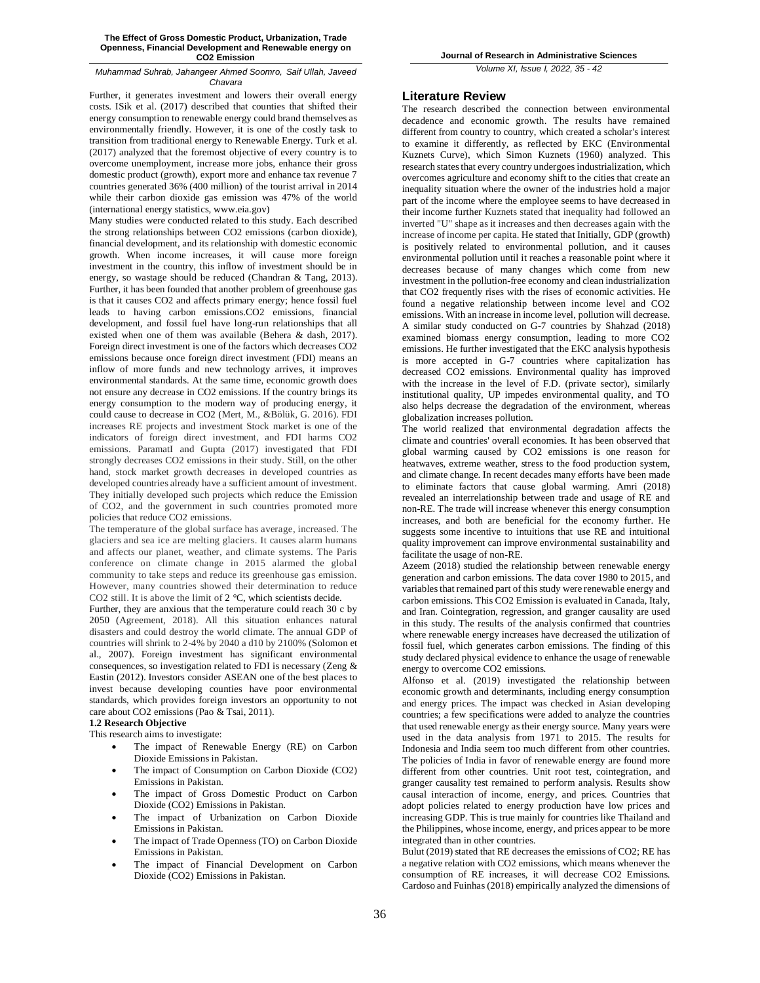Further, it generates investment and lowers their overall energy costs. ISik et al. (2017) described that counties that shifted their energy consumption to renewable energy could brand themselves as environmentally friendly. However, it is one of the costly task to transition from traditional energy to Renewable Energy. Turk et al. (2017) analyzed that the foremost objective of every country is to overcome unemployment, increase more jobs, enhance their gross domestic product (growth), export more and enhance tax revenue 7 countries generated 36% (400 million) of the tourist arrival in 2014 while their carbon dioxide gas emission was 47% of the world (international energy statistics, www.eia.gov)

Many studies were conducted related to this study. Each described the strong relationships between CO2 emissions (carbon dioxide), financial development, and its relationship with domestic economic growth. When income increases, it will cause more foreign investment in the country, this inflow of investment should be in energy, so wastage should be reduced (Chandran & Tang, 2013). Further, it has been founded that another problem of greenhouse gas is that it causes CO2 and affects primary energy; hence fossil fuel leads to having carbon emissions.CO2 emissions, financial development, and fossil fuel have long-run relationships that all existed when one of them was available (Behera & dash, 2017). Foreign direct investment is one of the factors which decreases CO2 emissions because once foreign direct investment (FDI) means an inflow of more funds and new technology arrives, it improves environmental standards. At the same time, economic growth does not ensure any decrease in CO2 emissions. If the country brings its energy consumption to the modern way of producing energy, it could cause to decrease in CO2 (Mert, M., &Bölük, G. 2016). FDI increases RE projects and investment Stock market is one of the indicators of foreign direct investment, and FDI harms CO2 emissions. ParamatI and Gupta (2017) investigated that FDI strongly decreases CO2 emissions in their study. Still, on the other hand, stock market growth decreases in developed countries as developed countries already have a sufficient amount of investment. They initially developed such projects which reduce the Emission of CO2, and the government in such countries promoted more policies that reduce CO2 emissions.

The temperature of the global surface has average, increased. The glaciers and sea ice are melting glaciers. It causes alarm humans and affects our planet, weather, and climate systems. The Paris conference on climate change in 2015 alarmed the global community to take steps and reduce its greenhouse gas emission. However, many countries showed their determination to reduce CO2 still. It is above the limit of 2 °C, which scientists decide.

Further, they are anxious that the temperature could reach 30 c by 2050 (Agreement, 2018). All this situation enhances natural disasters and could destroy the world climate. The annual GDP of countries will shrink to 2-4% by 2040 a d10 by 2100% (Solomon et al., 2007). Foreign investment has significant environmental consequences, so investigation related to FDI is necessary (Zeng & Eastin (2012). Investors consider ASEAN one of the best places to invest because developing counties have poor environmental standards, which provides foreign investors an opportunity to not care about CO2 emissions (Pao & Tsai, 2011).

### **1.2 Research Objective**

This research aims to investigate:

- The impact of Renewable Energy (RE) on Carbon Dioxide Emissions in Pakistan.
- The impact of Consumption on Carbon Dioxide (CO2) Emissions in Pakistan.
- The impact of Gross Domestic Product on Carbon Dioxide (CO2) Emissions in Pakistan.
- The impact of Urbanization on Carbon Dioxide Emissions in Pakistan.
- The impact of Trade Openness (TO) on Carbon Dioxide Emissions in Pakistan.
- The impact of Financial Development on Carbon Dioxide (CO2) Emissions in Pakistan.

*Volume XI, Issue I, 2022, 35 - 42*

### **Literature Review**

The research described the connection between environmental decadence and economic growth. The results have remained different from country to country, which created a scholar's interest to examine it differently, as reflected by EKC (Environmental Kuznets Curve), which Simon Kuznets (1960) analyzed. This research states that every country undergoesindustrialization, which overcomes agriculture and economy shift to the cities that create an inequality situation where the owner of the industries hold a major part of the income where the employee seems to have decreased in their income further Kuznets stated that inequality had followed an inverted "U" shape as it increases and then decreases again with the increase of income per capita. He stated that Initially, GDP (growth) is positively related to environmental pollution, and it causes environmental pollution until it reaches a reasonable point where it decreases because of many changes which come from new investment in the pollution-free economy and clean industrialization that CO2 frequently rises with the rises of economic activities. He found a negative relationship between income level and CO2 emissions. With an increase in income level, pollution will decrease. A similar study conducted on G-7 countries by Shahzad (2018) examined biomass energy consumption, leading to more CO2 emissions. He further investigated that the EKC analysis hypothesis is more accepted in G-7 countries where capitalization has decreased CO2 emissions. Environmental quality has improved with the increase in the level of F.D. (private sector), similarly institutional quality, UP impedes environmental quality, and TO also helps decrease the degradation of the environment, whereas globalization increases pollution.

The world realized that environmental degradation affects the climate and countries' overall economies. It has been observed that global warming caused by CO2 emissions is one reason for heatwaves, extreme weather, stress to the food production system, and climate change. In recent decades many efforts have been made to eliminate factors that cause global warming. Amri (2018) revealed an interrelationship between trade and usage of RE and non-RE. The trade will increase whenever this energy consumption increases, and both are beneficial for the economy further. He suggests some incentive to intuitions that use RE and intuitional quality improvement can improve environmental sustainability and facilitate the usage of non-RE.

Azeem (2018) studied the relationship between renewable energy generation and carbon emissions. The data cover 1980 to 2015, and variables that remained part of this study were renewable energy and carbon emissions. This CO2 Emission is evaluated in Canada, Italy, and Iran. Cointegration, regression, and granger causality are used in this study. The results of the analysis confirmed that countries where renewable energy increases have decreased the utilization of fossil fuel, which generates carbon emissions. The finding of this study declared physical evidence to enhance the usage of renewable energy to overcome CO2 emissions.

Alfonso et al. (2019) investigated the relationship between economic growth and determinants, including energy consumption and energy prices. The impact was checked in Asian developing countries; a few specifications were added to analyze the countries that used renewable energy as their energy source. Many years were used in the data analysis from 1971 to 2015. The results for Indonesia and India seem too much different from other countries. The policies of India in favor of renewable energy are found more different from other countries. Unit root test, cointegration, and granger causality test remained to perform analysis. Results show causal interaction of income, energy, and prices. Countries that adopt policies related to energy production have low prices and increasing GDP. This is true mainly for countries like Thailand and the Philippines, whose income, energy, and prices appear to be more integrated than in other countries.

Bulut (2019) stated that RE decreases the emissions of CO2; RE has a negative relation with CO2 emissions, which means whenever the consumption of RE increases, it will decrease CO2 Emissions. Cardoso and Fuinhas (2018) empirically analyzed the dimensions of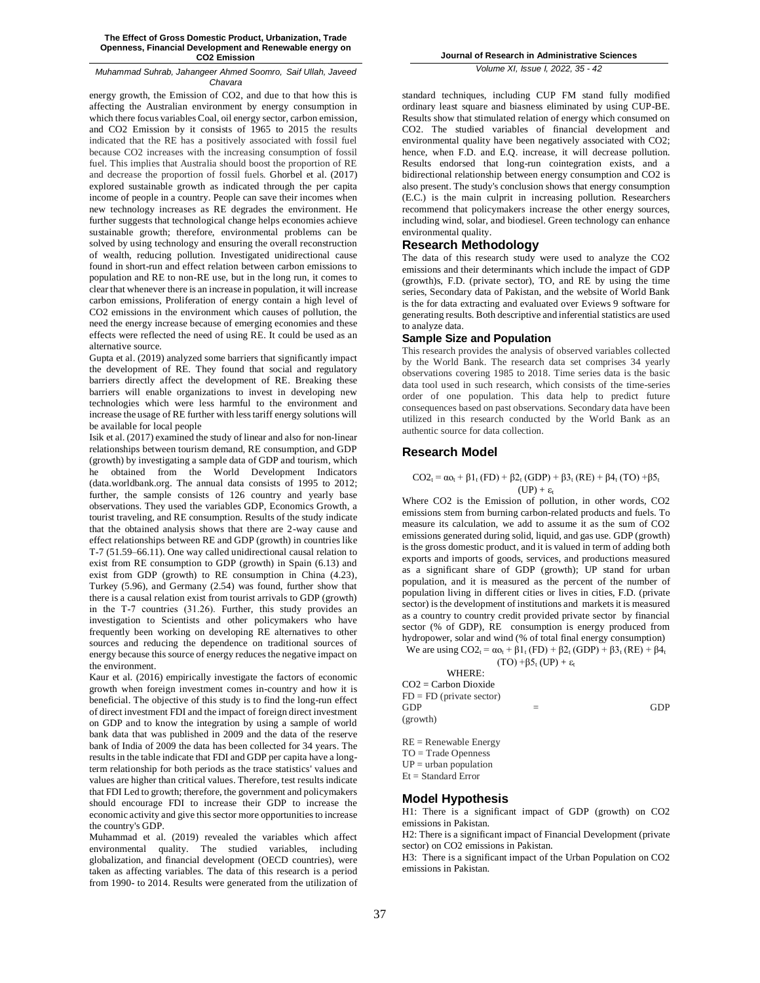energy growth, the Emission of CO2, and due to that how this is affecting the Australian environment by energy consumption in which there focus variables Coal, oil energy sector, carbon emission, and CO2 Emission by it consists of 1965 to 2015 the results indicated that the RE has a positively associated with fossil fuel because CO2 increases with the increasing consumption of fossil fuel. This implies that Australia should boost the proportion of RE and decrease the proportion of fossil fuels. Ghorbel et al. (2017) explored sustainable growth as indicated through the per capita income of people in a country. People can save their incomes when new technology increases as RE degrades the environment. He further suggests that technological change helps economies achieve sustainable growth; therefore, environmental problems can be solved by using technology and ensuring the overall reconstruction of wealth, reducing pollution. Investigated unidirectional cause found in short-run and effect relation between carbon emissions to population and RE to non-RE use, but in the long run, it comes to clear that whenever there is an increase in population, it will increase carbon emissions, Proliferation of energy contain a high level of CO2 emissions in the environment which causes of pollution, the need the energy increase because of emerging economies and these effects were reflected the need of using RE. It could be used as an alternative source.

Gupta et al. (2019) analyzed some barriers that significantly impact the development of RE. They found that social and regulatory barriers directly affect the development of RE. Breaking these barriers will enable organizations to invest in developing new technologies which were less harmful to the environment and increase the usage of RE further with less tariff energy solutions will be available for local people

Isik et al. (2017) examined the study of linear and also for non‐linear relationships between tourism demand, RE consumption, and GDP (growth) by investigating a sample data of GDP and tourism, which he obtained from the World Development Indicators (data.worldbank.org. The annual data consists of 1995 to 2012; further, the sample consists of 126 country and yearly base observations. They used the variables GDP, Economics Growth, a tourist traveling, and RE consumption. Results of the study indicate that the obtained analysis shows that there are 2-way cause and effect relationships between RE and GDP (growth) in countries like T‐7 (51.59–66.11). One way called unidirectional causal relation to exist from RE consumption to GDP (growth) in Spain (6.13) and exist from GDP (growth) to RE consumption in China (4.23), Turkey (5.96), and Germany (2.54) was found, further show that there is a causal relation exist from tourist arrivals to GDP (growth) in the T‐7 countries (31.26). Further, this study provides an investigation to Scientists and other policymakers who have frequently been working on developing RE alternatives to other sources and reducing the dependence on traditional sources of energy because this source of energy reduces the negative impact on the environment.

Kaur et al. (2016) empirically investigate the factors of economic growth when foreign investment comes in-country and how it is beneficial. The objective of this study is to find the long-run effect of direct investment FDI and the impact of foreign direct investment on GDP and to know the integration by using a sample of world bank data that was published in 2009 and the data of the reserve bank of India of 2009 the data has been collected for 34 years. The results in the table indicate that FDI and GDP per capita have a longterm relationship for both periods as the trace statistics' values and values are higher than critical values. Therefore, test results indicate that FDI Led to growth; therefore, the government and policymakers should encourage FDI to increase their GDP to increase the economic activity and give this sector more opportunities to increase the country's GDP.

Muhammad et al. (2019) revealed the variables which affect environmental quality. The studied variables, including globalization, and financial development (OECD countries), were taken as affecting variables. The data of this research is a period from 1990- to 2014. Results were generated from the utilization of

**Journal of Research in Administrative Sciences**

*Volume XI, Issue I, 2022, 35 - 42*

standard techniques, including CUP FM stand fully modified ordinary least square and biasness eliminated by using CUP-BE. Results show that stimulated relation of energy which consumed on CO2. The studied variables of financial development and environmental quality have been negatively associated with CO2; hence, when F.D. and E.Q. increase, it will decrease pollution. Results endorsed that long-run cointegration exists, and a bidirectional relationship between energy consumption and CO2 is also present. The study's conclusion shows that energy consumption (E.C.) is the main culprit in increasing pollution. Researchers recommend that policymakers increase the other energy sources, including wind, solar, and biodiesel. Green technology can enhance environmental quality.

### **Research Methodology**

The data of this research study were used to analyze the CO2 emissions and their determinants which include the impact of GDP (growth)s, F.D. (private sector), TO, and RE by using the time series, Secondary data of Pakistan, and the website of World Bank is the for data extracting and evaluated over Eviews 9 software for generating results. Both descriptive and inferential statistics are used to analyze data.

### **Sample Size and Population**

This research provides the analysis of observed variables collected by the World Bank. The research data set comprises 34 yearly observations covering 1985 to 2018. Time series data is the basic data tool used in such research, which consists of the time-series order of one population. This data help to predict future consequences based on past observations. Secondary data have been utilized in this research conducted by the World Bank as an authentic source for data collection.

### **Research Model**

### $CO2_t = \alpha o_t + \beta 1_t (FD) + \beta 2_t (GDP) + \beta 3_t (RE) + \beta 4_t (TO) + \beta 5_t$  $(UP) + \varepsilon$

Where CO2 is the Emission of pollution, in other words, CO2 emissions stem from burning carbon-related products and fuels. To measure its calculation, we add to assume it as the sum of CO2 emissions generated during solid, liquid, and gas use. GDP (growth) is the gross domestic product, and it is valued in term of adding both exports and imports of goods, services, and productions measured as a significant share of GDP (growth); UP stand for urban population, and it is measured as the percent of the number of population living in different cities or lives in cities, F.D. (private sector) is the development of institutions and markets it is measured as a country to country credit provided private sector by financial sector (% of GDP), RE consumption is energy produced from hydropower, solar and wind (% of total final energy consumption) We are using  $CO2_t = \alpha o_t + \beta 1_t (FD) + \beta 2_t (GDP) + \beta 3_t (RE) + \beta 4_t$ 

 $(TO)$  + $\beta$ 5<sub>t</sub> (UP) +  $\varepsilon_t$ 

WHERE: CO2 = Carbon Dioxide  $FD = FD$  (private sector)  $GDP$  = GDP (growth)

RE = Renewable Energy TO = Trade Openness  $UP =$ urban population  $Et = Standard Error$ 

### **Model Hypothesis**

H1: There is a significant impact of GDP (growth) on CO2 emissions in Pakistan.

H2: There is a significant impact of Financial Development (private sector) on CO2 emissions in Pakistan.

H3: There is a significant impact of the Urban Population on CO2 emissions in Pakistan.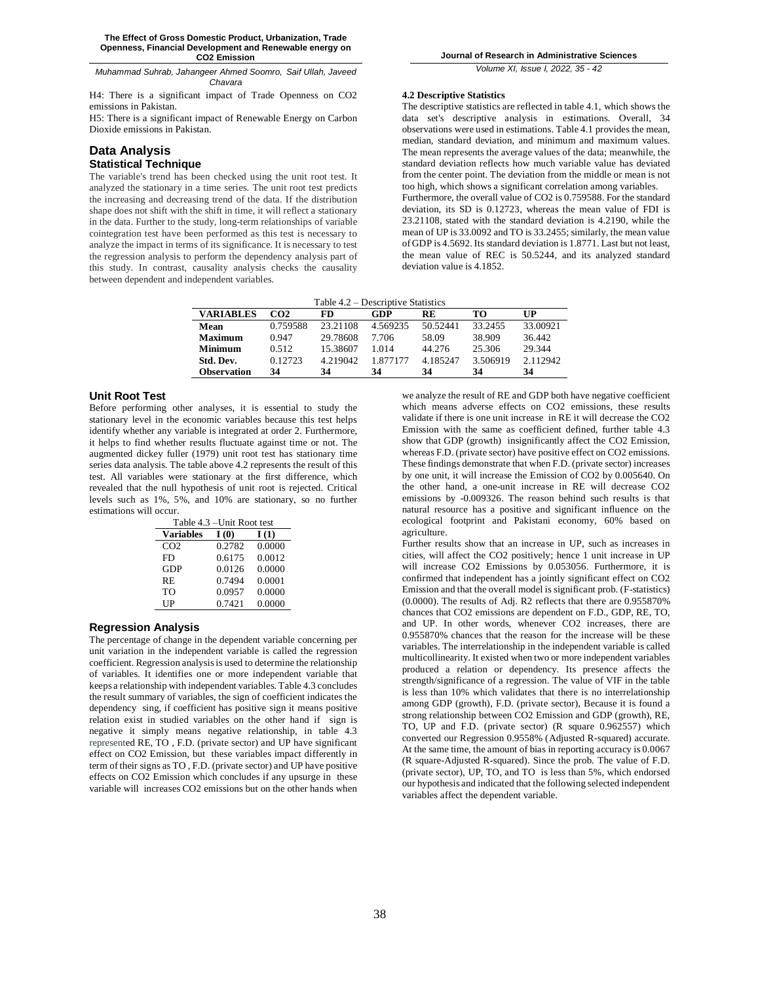H4: There is a significant impact of Trade Openness on CO2 emissions in Pakistan.

H5: There is a significant impact of Renewable Energy on Carbon Dioxide emissions in Pakistan.

# **Data Analysis**

# **Statistical Technique**

The variable's trend has been checked using the unit root test. It analyzed the stationary in a time series. The unit root test predicts the increasing and decreasing trend of the data. If the distribution shape does not shift with the shift in time, it will reflect a stationary in the data. Further to the study, long-term relationships of variable cointegration test have been performed as this test is necessary to analyze the impact in terms of its significance. It is necessary to test the regression analysis to perform the dependency analysis part of this study. In contrast, causality analysis checks the causality between dependent and independent variables.

*Volume XI, Issue I, 2022, 35 - 42*

### **4.2 Descriptive Statistics**

The descriptive statistics are reflected in table 4.1, which shows the data set's descriptive analysis in estimations. Overall, 34 observations were used in estimations. Table 4.1 provides the mean, median, standard deviation, and minimum and maximum values. The mean represents the average values of the data; meanwhile, the standard deviation reflects how much variable value has deviated from the center point. The deviation from the middle or mean is not too high, which shows a significant correlation among variables. Furthermore, the overall value of CO2 is 0.759588. For the standard deviation, its SD is 0.12723, whereas the mean value of FDI is 23.21108, stated with the standard deviation is 4.2190, while the mean of UP is 33.0092 and TO is 33.2455; similarly, the mean value of GDP is 4.5692. Its standard deviation is 1.8771. Last but not least, the mean value of REC is 50.5244, and its analyzed standard deviation value is 4.1852.

Table 4.2 – Descriptive Statistics

| <b>VARIABLES</b> | CO <sub>2</sub> | <b>FD</b> | GDP      | <b>RE</b> | TО       | $\mathbf{I} \mathbf{I}$ |
|------------------|-----------------|-----------|----------|-----------|----------|-------------------------|
| Mean             | 0.759588        | 23.21108  | 4.569235 | 50.52441  | 33.2455  | 33.00921                |
| Maximum          | 0.947           | 29.78608  | 7.706    | 58.09     | 38.909   | 36 442                  |
| Minimum          | 0.512           | 15.38607  | 1.014    | 44.276    | 25.306   | 29.344                  |
| Std. Dev.        | 0.12723         | 4.219042  | 1.877177 | 4.185247  | 3.506919 | 2.112942                |
| Observation      | 34              | 34        | 34       | 34        | 34       | 34                      |

### **Unit Root Test**

Before performing other analyses, it is essential to study the stationary level in the economic variables because this test helps identify whether any variable is integrated at order 2. Furthermore, it helps to find whether results fluctuate against time or not. The augmented dickey fuller (1979) unit root test has stationary time series data analysis. The table above 4.2 represents the result of this test. All variables were stationary at the first difference, which revealed that the null hypothesis of unit root is rejected. Critical levels such as 1%, 5%, and 10% are stationary, so no further estimations will occur.

| Table 4.3 – Unit Root test |        |        |  |  |  |
|----------------------------|--------|--------|--|--|--|
| <b>Variables</b>           | I(0)   | I(1)   |  |  |  |
| CO <sub>2</sub>            | 0.2782 | 0.0000 |  |  |  |
| FD                         | 0.6175 | 0.0012 |  |  |  |
| GDP                        | 0.0126 | 0.0000 |  |  |  |
| RE                         | 0.7494 | 0.0001 |  |  |  |
| TO.                        | 0.0957 | 0.0000 |  |  |  |
| UP                         | 0.7421 | 0.0000 |  |  |  |

# **Regression Analysis**

The percentage of change in the dependent variable concerning per unit variation in the independent variable is called the regression coefficient. Regression analysis is used to determine the relationship of variables. It identifies one or more independent variable that keeps a relationship with independent variables. Table 4.3 concludes the result summary of variables, the sign of coefficient indicates the dependency sing, if coefficient has positive sign it means positive relation exist in studied variables on the other hand if sign is negative it simply means negative relationship, in table 4.3 represented RE, TO , F.D. (private sector) and UP have significant effect on CO2 Emission, but these variables impact differently in term of their signs as TO , F.D. (private sector) and UP have positive effects on CO2 Emission which concludes if any upsurge in these variable will increases CO2 emissions but on the other hands when

we analyze the result of RE and GDP both have negative coefficient which means adverse effects on CO2 emissions, these results validate if there is one unit increase in RE it will decrease the CO2 Emission with the same as coefficient defined, further table 4.3 show that GDP (growth) insignificantly affect the CO2 Emission, whereas F.D. (private sector) have positive effect on CO2 emissions. These findings demonstrate that when F.D. (private sector) increases by one unit, it will increase the Emission of CO2 by 0.005640. On the other hand, a one-unit increase in RE will decrease CO2 emissions by -0.009326. The reason behind such results is that natural resource has a positive and significant influence on the ecological footprint and Pakistani economy, 60% based on agriculture.

Further results show that an increase in UP, such as increases in cities, will affect the CO2 positively; hence 1 unit increase in UP will increase CO2 Emissions by 0.053056. Furthermore, it is confirmed that independent has a jointly significant effect on CO2 Emission and that the overall model is significant prob. (F-statistics) (0.0000). The results of Adj. R2 reflects that there are 0.955870% chances that CO2 emissions are dependent on F.D., GDP, RE, TO, and UP. In other words, whenever CO2 increases, there are 0.955870% chances that the reason for the increase will be these variables. The interrelationship in the independent variable is called multicollinearity. It existed when two or more independent variables produced a relation or dependency. Its presence affects the strength/significance of a regression. The value of VIF in the table is less than 10% which validates that there is no interrelationship among GDP (growth), F.D. (private sector), Because it is found a strong relationship between CO2 Emission and GDP (growth), RE, TO, UP and F.D. (private sector) (R square 0.962557) which converted our Regression 0.9558% (Adjusted R-squared) accurate. At the same time, the amount of bias in reporting accuracy is 0.0067 (R square-Adjusted R-squared). Since the prob. The value of F.D. (private sector), UP, TO, and TO is less than 5%, which endorsed our hypothesis and indicated that the following selected independent variables affect the dependent variable.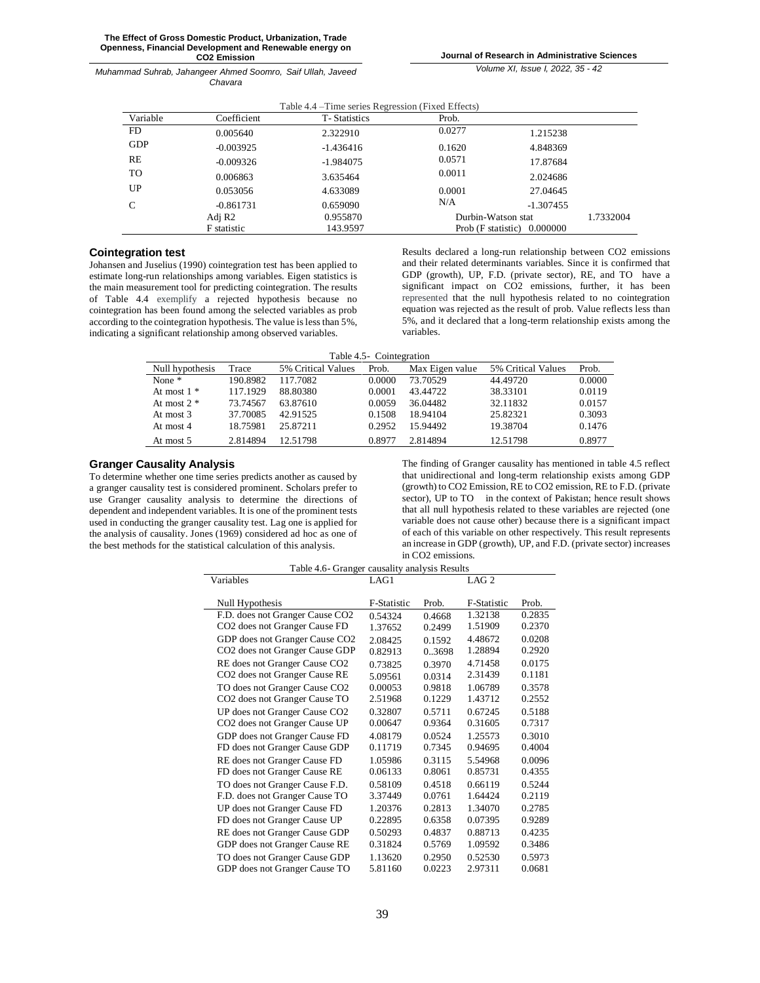*Volume XI, Issue I, 2022, 35 - 42*

| Table 4.4 – Time series Regression (Fixed Effects) |                                |                      |                    |                                  |           |  |
|----------------------------------------------------|--------------------------------|----------------------|--------------------|----------------------------------|-----------|--|
| Variable                                           | Coefficient                    | <b>T</b> -Statistics | Prob.              |                                  |           |  |
| FD.                                                | 0.005640                       | 2.322910             | 0.0277             | 1.215238                         |           |  |
| <b>GDP</b>                                         | $-0.003925$                    | $-1.436416$          | 0.1620             | 4.848369                         |           |  |
| RE                                                 | $-0.009326$                    | $-1.984075$          | 0.0571             | 17.87684                         |           |  |
| TO                                                 | 0.006863                       | 3.635464             | 0.0011             | 2.024686                         |           |  |
| UP                                                 | 0.053056                       | 4.633089             | 0.0001             | 27.04645                         |           |  |
| C                                                  | $-0.861731$                    | 0.659090             | N/A                | $-1.307455$                      |           |  |
|                                                    | 0.955870<br>Adj R <sub>2</sub> |                      | Durbin-Watson stat |                                  | 1.7332004 |  |
|                                                    | <b>F</b> statistic             | 143.9597             |                    | Prob $(F$ statistic $)$ 0.000000 |           |  |

# **Cointegration test**

Johansen and Juselius (1990) cointegration test has been applied to estimate long-run relationships among variables. Eigen statistics is the main measurement tool for predicting cointegration. The results of Table 4.4 exemplify a rejected hypothesis because no cointegration has been found among the selected variables as prob according to the cointegration hypothesis. The value is less than 5%, indicating a significant relationship among observed variables.

Results declared a long-run relationship between CO2 emissions and their related determinants variables. Since it is confirmed that GDP (growth), UP, F.D. (private sector), RE, and TO have a significant impact on CO2 emissions, further, it has been represented that the null hypothesis related to no cointegration equation was rejected as the result of prob. Value reflects less than 5%, and it declared that a long-term relationship exists among the variables.

| Table 4.5 - Cointegration |                          |        |                 |           |  |  |  |
|---------------------------|--------------------------|--------|-----------------|-----------|--|--|--|
| Trace                     | 5% Critical Values Prob. |        | Max Eigen value | 5% Critio |  |  |  |
| 90.8982                   | 117.7082                 | 0.0000 | 73.70529        | 44.49720  |  |  |  |
| 17 1929                   | -88.80380                | 0.0001 | 43 44722        | 38 33101  |  |  |  |

| Null hypothesis | Trace    | 5% Critical Values | Prob.  | Max Eigen value | 5% Critical Values | Prob.  |
|-----------------|----------|--------------------|--------|-----------------|--------------------|--------|
| None $*$        | 190.8982 | 117 7082           | 0.0000 | 73.70529        | 44.49720           | 0.0000 |
| At most $1 *$   | 117.1929 | 88.80380           | 0.0001 | 43.44722        | 38.33101           | 0.0119 |
| At most $2 *$   | 73.74567 | 63.87610           | 0.0059 | 36.04482        | 32.11832           | 0.0157 |
| At most $3$     | 37.70085 | 42.91525           | 0.1508 | 18 94 104       | 25.82321           | 0.3093 |
| At most 4       | 18.75981 | 25.87211           | 0.2952 | 15 94492        | 19.38704           | 0.1476 |
| At most 5       | 2.814894 | 12.51798           | 0.8977 | 2.814894        | 12.51798           | 0.8977 |

# **Granger Causality Analysis**

To determine whether one time series predicts another as caused by a granger causality test is considered prominent. Scholars prefer to use Granger causality analysis to determine the directions of dependent and independent variables. It is one of the prominent tests used in conducting the granger causality test. Lag one is applied for the analysis of causality. Jones (1969) considered ad hoc as one of the best methods for the statistical calculation of this analysis.

The finding of Granger causality has mentioned in table 4.5 reflect that unidirectional and long-term relationship exists among GDP (growth) to CO2 Emission, RE to CO2 emission, RE to F.D. (private sector), UP to TO in the context of Pakistan; hence result shows that all null hypothesis related to these variables are rejected (one variable does not cause other) because there is a significant impact of each of this variable on other respectively. This result represents an increase in GDP (growth), UP, and F.D. (private sector) increases in CO2 emissions.

| Table 4.6- Granger causality analysis Results |             |        |                  |        |  |
|-----------------------------------------------|-------------|--------|------------------|--------|--|
| Variables                                     | LAG1        |        | LAG <sub>2</sub> |        |  |
|                                               |             |        |                  |        |  |
| Null Hypothesis                               | F-Statistic | Prob.  | F-Statistic      | Prob.  |  |
| F.D. does not Granger Cause CO2               | 0.54324     | 0.4668 | 1.32138          | 0.2835 |  |
| CO <sub>2</sub> does not Granger Cause FD     | 1.37652     | 0.2499 | 1.51909          | 0.2370 |  |
| GDP does not Granger Cause CO2                | 2.08425     | 0.1592 | 4.48672          | 0.0208 |  |
| CO <sub>2</sub> does not Granger Cause GDP    | 0.82913     | 0.3698 | 1.28894          | 0.2920 |  |
| RE does not Granger Cause CO <sub>2</sub>     | 0.73825     | 0.3970 | 4.71458          | 0.0175 |  |
| CO <sub>2</sub> does not Granger Cause RE     | 5.09561     | 0.0314 | 2.31439          | 0.1181 |  |
| TO does not Granger Cause CO2                 | 0.00053     | 0.9818 | 1.06789          | 0.3578 |  |
| CO <sub>2</sub> does not Granger Cause TO     | 2.51968     | 0.1229 | 1.43712          | 0.2552 |  |
| UP does not Granger Cause CO <sub>2</sub>     | 0.32807     | 0.5711 | 0.67245          | 0.5188 |  |
| CO <sub>2</sub> does not Granger Cause UP     | 0.00647     | 0.9364 | 0.31605          | 0.7317 |  |
| GDP does not Granger Cause FD                 | 4.08179     | 0.0524 | 1.25573          | 0.3010 |  |
| FD does not Granger Cause GDP                 | 0.11719     | 0.7345 | 0.94695          | 0.4004 |  |
| RE does not Granger Cause FD                  | 1.05986     | 0.3115 | 5.54968          | 0.0096 |  |
| FD does not Granger Cause RE                  | 0.06133     | 0.8061 | 0.85731          | 0.4355 |  |
| TO does not Granger Cause F.D.                | 0.58109     | 0.4518 | 0.66119          | 0.5244 |  |
| F.D. does not Granger Cause TO                | 3.37449     | 0.0761 | 1.64424          | 0.2119 |  |
| UP does not Granger Cause FD                  | 1.20376     | 0.2813 | 1.34070          | 0.2785 |  |
| FD does not Granger Cause UP                  | 0.22895     | 0.6358 | 0.07395          | 0.9289 |  |
| RE does not Granger Cause GDP                 | 0.50293     | 0.4837 | 0.88713          | 0.4235 |  |
| GDP does not Granger Cause RE                 | 0.31824     | 0.5769 | 1.09592          | 0.3486 |  |
| TO does not Granger Cause GDP                 | 1.13620     | 0.2950 | 0.52530          | 0.5973 |  |
| GDP does not Granger Cause TO                 | 5.81160     | 0.0223 | 2.97311          | 0.0681 |  |
|                                               |             |        |                  |        |  |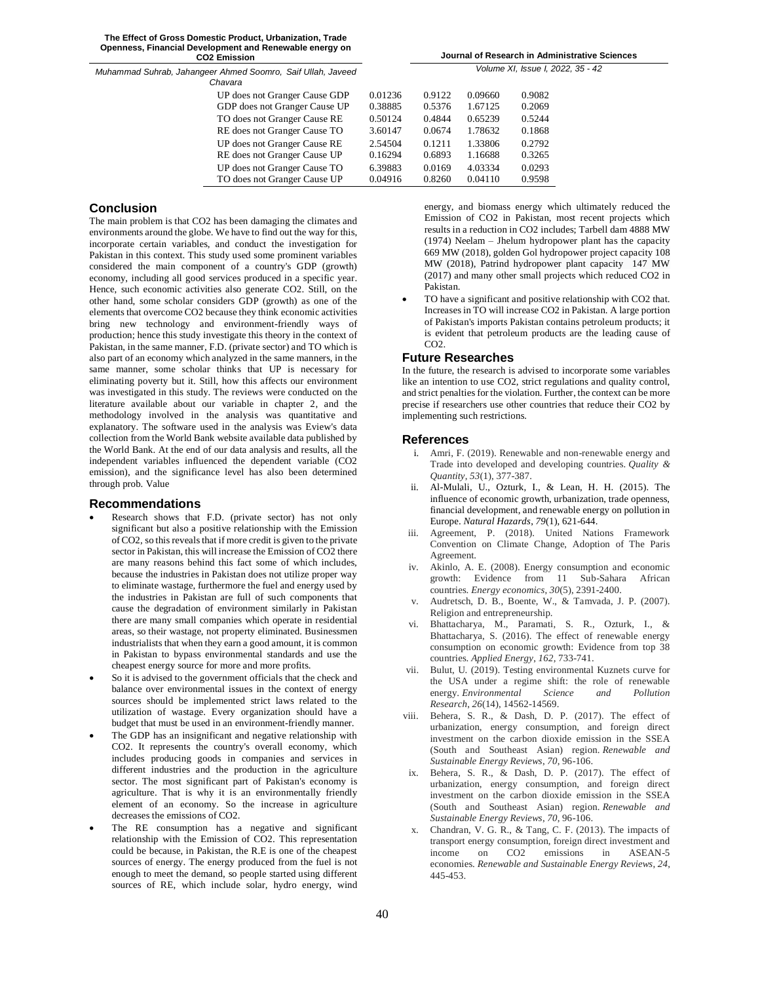| Journal of Research in Administrative Sciences |
|------------------------------------------------|
| Volume XI. Issue I. 2022. 35 - 42              |

| 0.01236 | 0.9122 | 0.09660 | 0.9082 |
|---------|--------|---------|--------|
| 0.38885 | 0.5376 | 1.67125 | 0.2069 |
| 0.50124 | 0.4844 | 0.65239 | 0.5244 |
| 3.60147 | 0.0674 | 1.78632 | 0.1868 |
| 2.54504 | 0.1211 | 1.33806 | 0.2792 |
| 0.16294 | 0.6893 | 1.16688 | 0.3265 |
| 6.39883 | 0.0169 | 4.03334 | 0.0293 |
| 0.04916 | 0.8260 | 0.04110 | 0.9598 |
|         |        |         |        |

# **Conclusion**

The main problem is that CO2 has been damaging the climates and environments around the globe. We have to find out the way for this, incorporate certain variables, and conduct the investigation for Pakistan in this context. This study used some prominent variables considered the main component of a country's GDP (growth) economy, including all good services produced in a specific year. Hence, such economic activities also generate CO2. Still, on the other hand, some scholar considers GDP (growth) as one of the elements that overcome CO2 because they think economic activities bring new technology and environment-friendly ways of production; hence this study investigate this theory in the context of Pakistan, in the same manner, F.D. (private sector) and TO which is also part of an economy which analyzed in the same manners, in the same manner, some scholar thinks that UP is necessary for eliminating poverty but it. Still, how this affects our environment was investigated in this study. The reviews were conducted on the literature available about our variable in chapter 2, and the methodology involved in the analysis was quantitative and explanatory. The software used in the analysis was Eview's data collection from the World Bank website available data published by the World Bank. At the end of our data analysis and results, all the independent variables influenced the dependent variable (CO2 emission), and the significance level has also been determined through prob. Value

### **Recommendations**

- Research shows that F.D. (private sector) has not only significant but also a positive relationship with the Emission of CO2, so this reveals that if more credit is given to the private sector in Pakistan, this will increase the Emission of CO2 there are many reasons behind this fact some of which includes, because the industries in Pakistan does not utilize proper way to eliminate wastage, furthermore the fuel and energy used by the industries in Pakistan are full of such components that cause the degradation of environment similarly in Pakistan there are many small companies which operate in residential areas, so their wastage, not property eliminated. Businessmen industrialists that when they earn a good amount, it is common in Pakistan to bypass environmental standards and use the cheapest energy source for more and more profits.
- So it is advised to the government officials that the check and balance over environmental issues in the context of energy sources should be implemented strict laws related to the utilization of wastage. Every organization should have a budget that must be used in an environment-friendly manner.
- The GDP has an insignificant and negative relationship with CO2. It represents the country's overall economy, which includes producing goods in companies and services in different industries and the production in the agriculture sector. The most significant part of Pakistan's economy is agriculture. That is why it is an environmentally friendly element of an economy. So the increase in agriculture decreases the emissions of CO2.
- The RE consumption has a negative and significant relationship with the Emission of CO2. This representation could be because, in Pakistan, the R.E is one of the cheapest sources of energy. The energy produced from the fuel is not enough to meet the demand, so people started using different sources of RE, which include solar, hydro energy, wind

energy, and biomass energy which ultimately reduced the Emission of CO2 in Pakistan, most recent projects which results in a reduction in CO2 includes; Tarbell dam 4888 MW (1974) Neelam – Jhelum hydropower plant has the capacity 669 MW (2018), golden Gol hydropower project capacity 108 MW (2018), Patrind hydropower plant capacity 147 MW (2017) and many other small projects which reduced CO2 in Pakistan.

 TO have a significant and positive relationship with CO2 that. Increasesin TO will increase CO2 in Pakistan. A large portion of Pakistan's imports Pakistan contains petroleum products; it is evident that petroleum products are the leading cause of CO2.

# **Future Researches**

In the future, the research is advised to incorporate some variables like an intention to use CO2, strict regulations and quality control, and strict penalties for the violation. Further, the context can be more precise if researchers use other countries that reduce their CO2 by implementing such restrictions.

### **References**

- i. Amri, F. (2019). Renewable and non-renewable energy and Trade into developed and developing countries. *Quality & Quantity*, *53*(1), 377-387.
- ii. Al-Mulali, U., Ozturk, I., & Lean, H. H. (2015). The influence of economic growth, urbanization, trade openness, financial development, and renewable energy on pollution in Europe. *Natural Hazards*, *79*(1), 621-644.
- iii. Agreement, P. (2018). United Nations Framework Convention on Climate Change, Adoption of The Paris Agreement.
- iv. Akinlo, A. E. (2008). Energy consumption and economic growth: Evidence from 11 Sub-Sahara African countries. *Energy economics*, *30*(5), 2391-2400.
- v. Audretsch, D. B., Boente, W., & Tamvada, J. P. (2007). Religion and entrepreneurship.
- vi. Bhattacharya, M., Paramati, S. R., Ozturk, I., & Bhattacharya, S. (2016). The effect of renewable energy consumption on economic growth: Evidence from top 38 countries. *Applied Energy*, *162*, 733-741.
- vii. Bulut, U. (2019). Testing environmental Kuznets curve for the USA under a regime shift: the role of renewable energy. *Environmental Science and Pollution Research*, *26*(14), 14562-14569.
- viii. Behera, S. R., & Dash, D. P. (2017). The effect of urbanization, energy consumption, and foreign direct investment on the carbon dioxide emission in the SSEA (South and Southeast Asian) region. *Renewable and Sustainable Energy Reviews*, *70*, 96-106.
- ix. Behera, S. R., & Dash, D. P. (2017). The effect of urbanization, energy consumption, and foreign direct investment on the carbon dioxide emission in the SSEA (South and Southeast Asian) region. *Renewable and Sustainable Energy Reviews*, *70*, 96-106.
- x. Chandran, V. G. R., & Tang, C. F. (2013). The impacts of transport energy consumption, foreign direct investment and<br>income on CO2 emissions in ASEAN-5 income on CO2 emissions in ASEAN-5 economies. *Renewable and Sustainable Energy Reviews*, *24*, 445-453.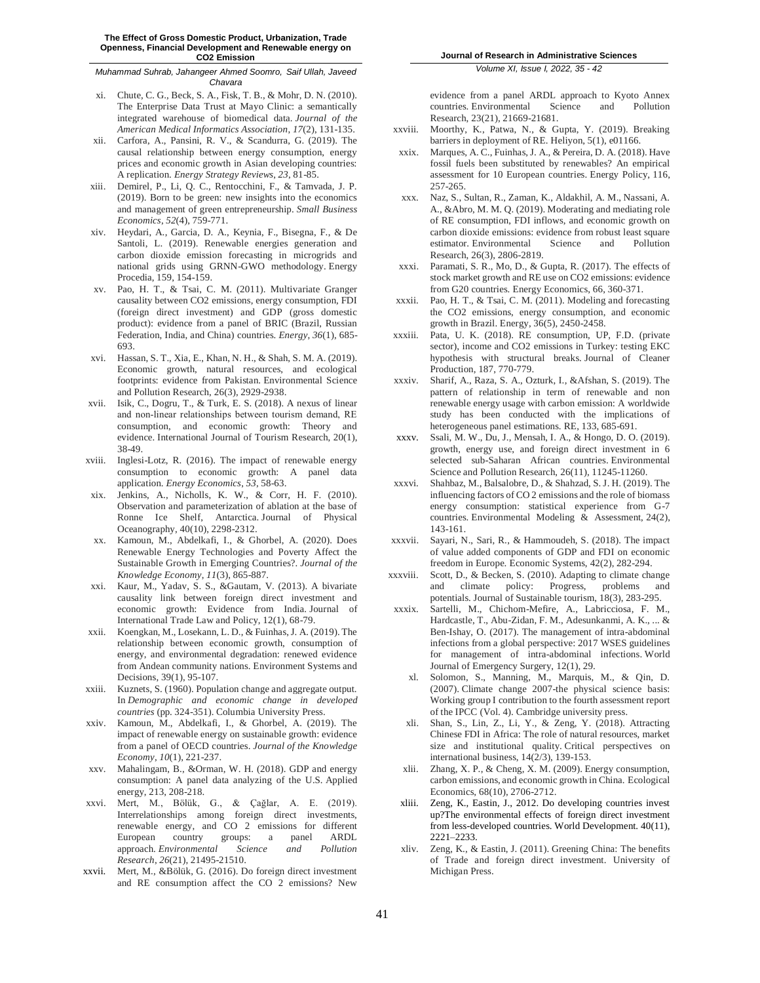- xi. Chute, C. G., Beck, S. A., Fisk, T. B., & Mohr, D. N. (2010). The Enterprise Data Trust at Mayo Clinic: a semantically integrated warehouse of biomedical data. *Journal of the American Medical Informatics Association*, *17*(2), 131-135.
- xii. Carfora, A., Pansini, R. V., & Scandurra, G. (2019). The causal relationship between energy consumption, energy prices and economic growth in Asian developing countries: A replication. *Energy Strategy Reviews*, *23*, 81-85.
- xiii. Demirel, P., Li, Q. C., Rentocchini, F., & Tamvada, J. P. (2019). Born to be green: new insights into the economics and management of green entrepreneurship. *Small Business Economics*, *52*(4), 759-771.
- xiv. Heydari, A., Garcia, D. A., Keynia, F., Bisegna, F., & De Santoli, L. (2019). Renewable energies generation and carbon dioxide emission forecasting in microgrids and national grids using GRNN-GWO methodology. Energy Procedia, 159, 154-159.
- xv. Pao, H. T., & Tsai, C. M. (2011). Multivariate Granger causality between CO2 emissions, energy consumption, FDI (foreign direct investment) and GDP (gross domestic product): evidence from a panel of BRIC (Brazil, Russian Federation, India, and China) countries. *Energy*, *36*(1), 685- 693.
- xvi. Hassan, S. T., Xia, E., Khan, N. H., & Shah, S. M. A. (2019). Economic growth, natural resources, and ecological footprints: evidence from Pakistan. Environmental Science and Pollution Research, 26(3), 2929-2938.
- xvii. Isik, C., Dogru, T., & Turk, E. S. (2018). A nexus of linear and non‐linear relationships between tourism demand, RE consumption, and economic growth: Theory and evidence. International Journal of Tourism Research, 20(1), 38-49.
- xviii. Inglesi-Lotz, R. (2016). The impact of renewable energy consumption to economic growth: A panel data application. *Energy Economics*, *53*, 58-63.
- xix. Jenkins, A., Nicholls, K. W., & Corr, H. F. (2010). Observation and parameterization of ablation at the base of Ronne Ice Shelf, Antarctica. Journal of Physical Oceanography, 40(10), 2298-2312.
- xx. Kamoun, M., Abdelkafi, I., & Ghorbel, A. (2020). Does Renewable Energy Technologies and Poverty Affect the Sustainable Growth in Emerging Countries?. *Journal of the Knowledge Economy*, *11*(3), 865-887.
- Kaur, M., Yadav, S. S., &Gautam, V. (2013). A bivariate causality link between foreign direct investment and economic growth: Evidence from India. Journal of International Trade Law and Policy, 12(1), 68-79.
- xxii. Koengkan, M., Losekann, L. D., & Fuinhas, J. A. (2019). The relationship between economic growth, consumption of energy, and environmental degradation: renewed evidence from Andean community nations. Environment Systems and Decisions, 39(1), 95-107.
- xxiii. Kuznets, S. (1960). Population change and aggregate output. In *Demographic and economic change in developed countries* (pp. 324-351). Columbia University Press.
- xxiv. Kamoun, M., Abdelkafi, I., & Ghorbel, A. (2019). The impact of renewable energy on sustainable growth: evidence from a panel of OECD countries. *Journal of the Knowledge Economy*, *10*(1), 221-237.
- xxv. Mahalingam, B., &Orman, W. H. (2018). GDP and energy consumption: A panel data analyzing of the U.S. Applied energy, 213, 208-218.
- xxvi. Mert, M., Bölük, G., & Çağlar, A. E. (2019). Interrelationships among foreign direct investments, renewable energy, and CO 2 emissions for different European country groups: a panel ARDL approach. *Environmental Science and Pollution Research*, *26*(21), 21495-21510.
- xxvii. Mert, M., &Bölük, G. (2016). Do foreign direct investment and RE consumption affect the CO 2 emissions? New

*Volume XI, Issue I, 2022, 35 - 42*

evidence from a panel ARDL approach to Kyoto Annex countries. Environmental Science and Pollution Research, 23(21), 21669-21681.

- xxviii. Moorthy, K., Patwa, N., & Gupta, Y. (2019). Breaking barriers in deployment of RE. Heliyon, 5(1), e01166.
- xxix. Marques, A. C., Fuinhas, J. A., & Pereira, D. A. (2018). Have fossil fuels been substituted by renewables? An empirical assessment for 10 European countries. Energy Policy, 116, 257-265.
- xxx. Naz, S., Sultan, R., Zaman, K., Aldakhil, A. M., Nassani, A. A., &Abro, M. M. Q. (2019). Moderating and mediating role of RE consumption, FDI inflows, and economic growth on carbon dioxide emissions: evidence from robust least square estimator. Environmental Science and Pollution Research, 26(3), 2806-2819.
- xxxi. Paramati, S. R., Mo, D., & Gupta, R. (2017). The effects of stock market growth and RE use on CO2 emissions: evidence from G20 countries. Energy Economics, 66, 360-371.
- xxxii. Pao, H. T., & Tsai, C. M. (2011). Modeling and forecasting the CO2 emissions, energy consumption, and economic growth in Brazil. Energy, 36(5), 2450-2458.
- xxxiii. Pata, U. K. (2018). RE consumption, UP, F.D. (private sector), income and CO2 emissions in Turkey: testing EKC hypothesis with structural breaks. Journal of Cleaner Production, 187, 770-779.
- xxxiv. Sharif, A., Raza, S. A., Ozturk, I., &Afshan, S. (2019). The pattern of relationship in term of renewable and non renewable energy usage with carbon emission: A worldwide study has been conducted with the implications of heterogeneous panel estimations. RE, 133, 685-691.
- xxxv. Ssali, M. W., Du, J., Mensah, I. A., & Hongo, D. O. (2019). growth, energy use, and foreign direct investment in 6 selected sub-Saharan African countries. Environmental Science and Pollution Research, 26(11), 11245-11260.
- xxxvi. Shahbaz, M., Balsalobre, D., & Shahzad, S. J. H. (2019). The influencing factors of CO 2 emissions and the role of biomass energy consumption: statistical experience from G-7 countries. Environmental Modeling & Assessment, 24(2), 143-161.
- xxxvii. Sayari, N., Sari, R., & Hammoudeh, S. (2018). The impact of value added components of GDP and FDI on economic freedom in Europe. Economic Systems, 42(2), 282-294.
- xxxviii. Scott, D., & Becken, S. (2010). Adapting to climate change and climate policy: Progress, problems and potentials. Journal of Sustainable tourism, 18(3), 283-295.
- xxxix. Sartelli, M., Chichom-Mefire, A., Labricciosa, F. M., Hardcastle, T., Abu-Zidan, F. M., Adesunkanmi, A. K., ... & Ben-Ishay, O. (2017). The management of intra-abdominal infections from a global perspective: 2017 WSES guidelines for management of intra-abdominal infections. World Journal of Emergency Surgery, 12(1), 29.
	- xl. Solomon, S., Manning, M., Marquis, M., & Qin, D. (2007). Climate change 2007-the physical science basis: Working group I contribution to the fourth assessment report of the IPCC (Vol. 4). Cambridge university press.
	- xli. Shan, S., Lin, Z., Li, Y., & Zeng, Y. (2018). Attracting Chinese FDI in Africa: The role of natural resources, market size and institutional quality. Critical perspectives on international business, 14(2/3), 139-153.
	- xlii. Zhang, X. P., & Cheng, X. M. (2009). Energy consumption, carbon emissions, and economic growth in China. Ecological Economics, 68(10), 2706-2712.
- xliii. Zeng, K., Eastin, J., 2012. Do developing countries invest up?The environmental effects of foreign direct investment from less-developed countries. World Development. 40(11), 2221–2233.
- xliv. Zeng, K., & Eastin, J. (2011). Greening China: The benefits of Trade and foreign direct investment. University of Michigan Press.